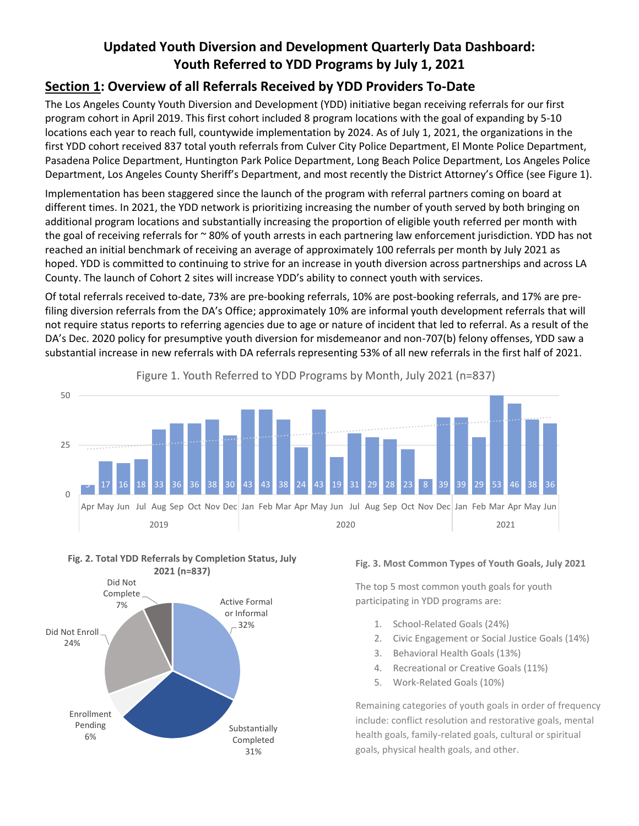## **Updated Youth Diversion and Development Quarterly Data Dashboard: Youth Referred to YDD Programs by July 1, 2021**

### **Section 1: Overview of all Referrals Received by YDD Providers To-Date**

The Los Angeles County Youth Diversion and Development (YDD) initiative began receiving referrals for our first program cohort in April 2019. This first cohort included 8 program locations with the goal of expanding by 5-10 locations each year to reach full, countywide implementation by 2024. As of July 1, 2021, the organizations in the first YDD cohort received 837 total youth referrals from Culver City Police Department, El Monte Police Department, Pasadena Police Department, Huntington Park Police Department, Long Beach Police Department, Los Angeles Police Department, Los Angeles County Sheriff's Department, and most recently the District Attorney's Office (see Figure 1).

Implementation has been staggered since the launch of the program with referral partners coming on board at different times. In 2021, the YDD network is prioritizing increasing the number of youth served by both bringing on additional program locations and substantially increasing the proportion of eligible youth referred per month with the goal of receiving referrals for  $\sim$  80% of youth arrests in each partnering law enforcement jurisdiction. YDD has not reached an initial benchmark of receiving an average of approximately 100 referrals per month by July 2021 as hoped. YDD is committed to continuing to strive for an increase in youth diversion across partnerships and across LA County. The launch of Cohort 2 sites will increase YDD's ability to connect youth with services.

Of total referrals received to-date, 73% are pre-booking referrals, 10% are post-booking referrals, and 17% are prefiling diversion referrals from the DA's Office; approximately 10% are informal youth development referrals that will not require status reports to referring agencies due to age or nature of incident that led to referral. As a result of the DA's Dec. 2020 policy for presumptive youth diversion for misdemeanor and non-707(b) felony offenses, YDD saw a substantial increase in new referrals with DA referrals representing 53% of all new referrals in the first half of 2021.



Figure 1. Youth Referred to YDD Programs by Month, July 2021 (n=837)





#### **Fig. 3. Most Common Types of Youth Goals, July 2021**

The top 5 most common youth goals for youth participating in YDD programs are:

- 1. School-Related Goals (24%)
- 2. Civic Engagement or Social Justice Goals (14%)
- 3. Behavioral Health Goals (13%)
- 4. Recreational or Creative Goals (11%)
- 5. Work-Related Goals (10%)

Remaining categories of youth goals in order of frequency include: conflict resolution and restorative goals, mental health goals, family-related goals, cultural or spiritual goals, physical health goals, and other.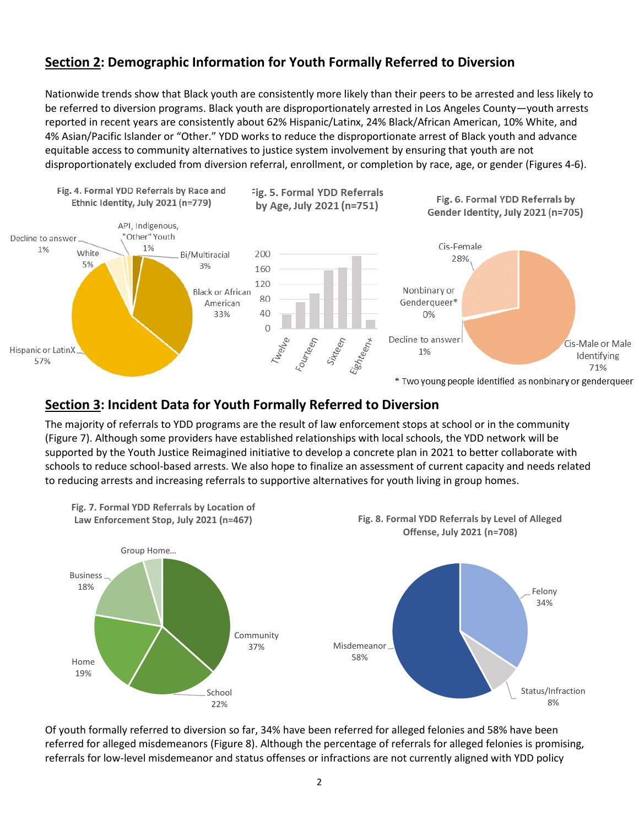### **Section 2: Demographic Information for Youth Formally Referred to Diversion**

Nationwide trends show that Black youth are consistently more likely than their peers to be arrested and less likely to be referred to diversion programs. Black youth are disproportionately arrested in Los Angeles County—youth arrests reported in recent years are consistently about 62% Hispanic/Latinx, 24% Black/African American, 10% White, and 4% Asian/Pacific Islander or "Other." YDD works to reduce the disproportionate arrest of Black youth and advance equitable access to community alternatives to justice system involvement by ensuring that youth are not disproportionately excluded from diversion referral, enrollment, or completion by race, age, or gender (Figures 4-6).



\* Two young people identified as nonbinary or genderqueer

#### **Section 3: Incident Data for Youth Formally Referred to Diversion**

The majority of referrals to YDD programs are the result of law enforcement stops at school or in the community (Figure 7). Although some providers have established relationships with local schools, the YDD network will be supported by the Youth Justice Reimagined initiative to develop a concrete plan in 2021 to better collaborate with schools to reduce school-based arrests. We also hope to finalize an assessment of current capacity and needs related to reducing arrests and increasing referrals to supportive alternatives for youth living in group homes.



Of youth formally referred to diversion so far, 34% have been referred for alleged felonies and 58% have been referred for alleged misdemeanors (Figure 8). Although the percentage of referrals for alleged felonies is promising, referrals for low-level misdemeanor and status offenses or infractions are not currently aligned with YDD policy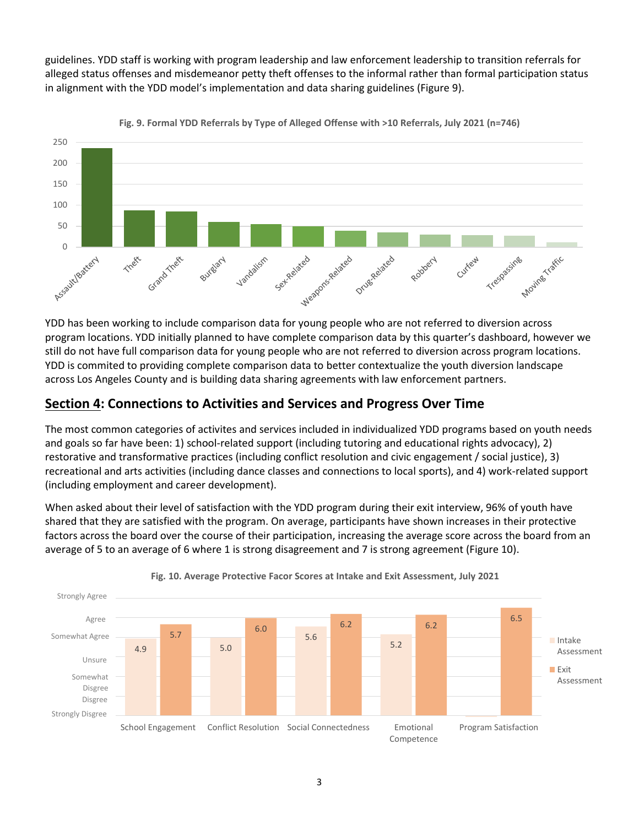guidelines. YDD staff is working with program leadership and law enforcement leadership to transition referrals for alleged status offenses and misdemeanor petty theft offenses to the informal rather than formal participation status in alignment with the YDD model's implementation and data sharing guidelines (Figure 9).



**Fig. 9. Formal YDD Referrals by Type of Alleged Offense with >10 Referrals, July 2021 (n=746)**

program locations. YDD initially planned to have complete comparison data by this quarter's dashboard, however we still do not have full comparison data for young people who are not referred to diversion across program locations. YDD is commited to providing complete comparison data to better contextualize the youth diversion landscape across Los Angeles County and is building data sharing agreements with law enforcement partners.

#### **Section 4: Connections to Activities and Services and Progress Over Time**

The most common categories of activites and services included in individualized YDD programs based on youth needs and goals so far have been: 1) school-related support (including tutoring and educational rights advocacy), 2) restorative and transformative practices (including conflict resolution and civic engagement / social justice), 3) recreational and arts activities (including dance classes and connections to local sports), and 4) work-related support (including employment and career development).

When asked about their level of satisfaction with the YDD program during their exit interview, 96% of youth have shared that they are satisfied with the program. On average, participants have shown increases in their protective factors across the board over the course of their participation, increasing the average score across the board from an average of 5 to an average of 6 where 1 is strong disagreement and 7 is strong agreement (Figure 10).



#### **Fig. 10. Average Protective Facor Scores at Intake and Exit Assessment, July 2021**